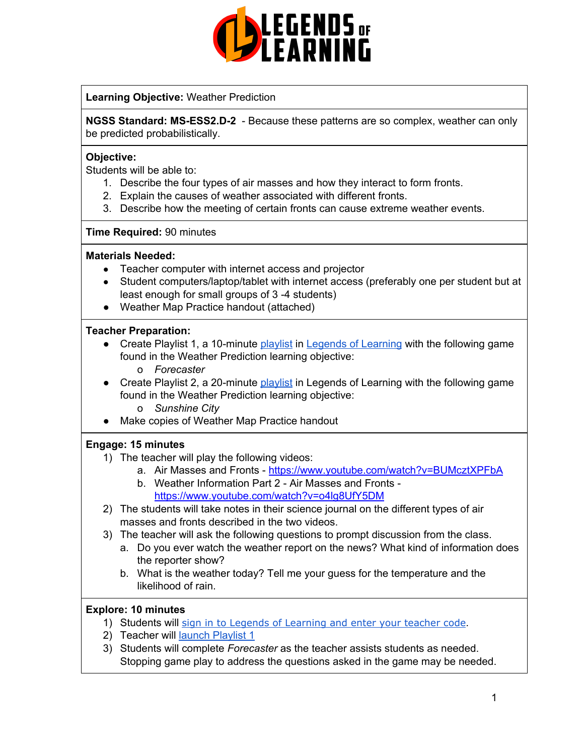

### **Learning Objective:** Weather Prediction

**NGSS Standard: MS-ESS2.D-2** - Because these patterns are so complex, weather can only be predicted probabilistically.

#### **Objective:**

Students will be able to:

- 1. Describe the four types of air masses and how they interact to form fronts.
- 2. Explain the causes of weather associated with different fronts.
- 3. Describe how the meeting of certain fronts can cause extreme weather events.

#### **Time Required:** 90 minutes

#### **Materials Needed:**

- Teacher computer with internet access and projector
- Student computers/laptop/tablet with internet access (preferably one per student but at least enough for small groups of 3 -4 students)
- Weather Map Practice handout (attached)

#### **Teacher Preparation:**

- Create Playlist 1, a 10-minute [playlist](https://lol.desk.com/customer/en/portal/articles/2822815-creating-multiple-playlists) in Legends of [Learning](https://teachers.legendsoflearning.com/sign-in) with the following game found in the Weather Prediction learning objective: o *Forecaster*
- Create Playlist 2, a 20-minute [playlist](https://lol.desk.com/customer/en/portal/articles/2822815-creating-multiple-playlists) in Legends of Learning with the following game found in the Weather Prediction learning objective:
	- o *Sunshine City*
- Make copies of Weather Map Practice handout

#### **Engage: 15 minutes**

- 1) The teacher will play the following videos:
	- a. Air Masses and Fronts <https://www.youtube.com/watch?v=BUMcztXPFbA>
	- b. Weather Information Part 2 Air Masses and Fronts <https://www.youtube.com/watch?v=o4lg8UfY5DM>
- 2) The students will take notes in their science journal on the different types of air masses and fronts described in the two videos.
- 3) The teacher will ask the following questions to prompt discussion from the class.
	- a. Do you ever watch the weather report on the news? What kind of information does the reporter show?
	- b. What is the weather today? Tell me your guess for the temperature and the likelihood of rain.

#### **Explore: 10 minutes**

- 1) Students will sign in to Legends of [Learning](https://lol.desk.com/customer/en/portal/articles/2809984-students-joining-a-playlist) and enter your teacher code.
- 2) Teacher will launch [Playlist](https://lol.desk.com/customer/en/portal/articles/2822815-creating-multiple-playlists) 1
- 3) Students will complete *Forecaster* as the teacher assists students as needed. Stopping game play to address the questions asked in the game may be needed.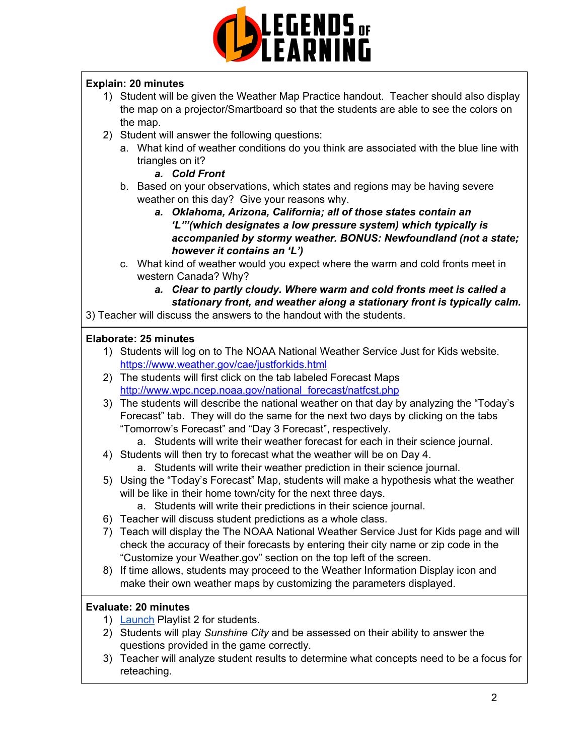

# **Explain: 20 minutes**

- 1) Student will be given the Weather Map Practice handout. Teacher should also display the map on a projector/Smartboard so that the students are able to see the colors on the map.
- 2) Student will answer the following questions:
	- a. What kind of weather conditions do you think are associated with the blue line with triangles on it?
		- *a. Cold Front*
	- b. Based on your observations, which states and regions may be having severe weather on this day? Give your reasons why.
		- *a. Oklahoma, Arizona, California; all of those states contain an 'L"'(which designates a low pressure system) which typically is accompanied by stormy weather. BONUS: Newfoundland (not a state; however it contains an 'L')*
	- c. What kind of weather would you expect where the warm and cold fronts meet in western Canada? Why?
		- *a. Clear to partly cloudy. Where warm and cold fronts meet is called a stationary front, and weather along a stationary front is typically calm.*

3) Teacher will discuss the answers to the handout with the students.

# **Elaborate: 25 minutes**

- 1) Students will log on to The NOAA National Weather Service Just for Kids website. <https://www.weather.gov/cae/justforkids.html>
- 2) The students will first click on the tab labeled Forecast Maps [http://www.wpc.ncep.noaa.gov/national\\_forecast/natfcst.php](http://www.wpc.ncep.noaa.gov/national_forecast/natfcst.php)
- 3) The students will describe the national weather on that day by analyzing the "Today's Forecast" tab. They will do the same for the next two days by clicking on the tabs "Tomorrow's Forecast" and "Day 3 Forecast", respectively.
	- a. Students will write their weather forecast for each in their science journal.
- 4) Students will then try to forecast what the weather will be on Day 4.
	- a. Students will write their weather prediction in their science journal.
- 5) Using the "Today's Forecast" Map, students will make a hypothesis what the weather will be like in their home town/city for the next three days.
	- a. Students will write their predictions in their science journal.
- 6) Teacher will discuss student predictions as a whole class.
- 7) Teach will display the The NOAA National Weather Service Just for Kids page and will check the accuracy of their forecasts by entering their city name or zip code in the "Customize your Weather.gov" section on the top left of the screen.
- 8) If time allows, students may proceed to the Weather Information Display icon and make their own weather maps by customizing the parameters displayed.

## **Evaluate: 20 minutes**

- 1) [Launch](https://lol.desk.com/customer/en/portal/articles/2822815-creating-multiple-playlists) Playlist 2 for students.
- 2) Students will play *Sunshine City* and be assessed on their ability to answer the questions provided in the game correctly.
- 3) Teacher will analyze student results to determine what concepts need to be a focus for reteaching.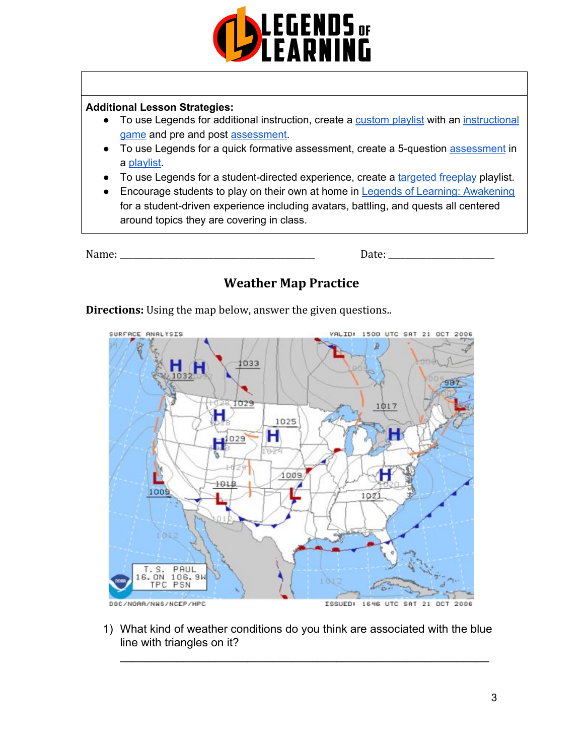

## **Additional Lesson Strategies:**

- To use Legends for additional instruction, create a [custom](https://intercom.help/legends-of-learning/en/articles/2154910-creating-a-playlist) playlist with an [instructional](https://intercom.help/legends-of-learning/en/articles/3505828-types-of-games) [game](https://intercom.help/legends-of-learning/en/articles/3505828-types-of-games) and pre and post [assessment.](https://intercom.help/legends-of-learning/en/articles/2154913-adding-assessments-to-a-playlist)
- To use Legends for a quick formative [assessment](https://intercom.help/legends-of-learning/en/articles/2154913-adding-assessments-to-a-playlist), create a 5-question assessment in a [playlist.](https://intercom.help/legends-of-learning/en/articles/2154910-creating-a-playlist)
- To use Legends for a student-directed experience, create a [targeted](https://intercom.help/legends-of-learning/en/articles/3340814-targeted-freeplay) freeplay playlist.
- Encourage students to play on their own at home in Legends of Learning: [Awakening](https://intercom.help/legends-of-learning/en/articles/2425490-legends-of-learning-awakening) for a student-driven experience including avatars, battling, and quests all centered around topics they are covering in class.

Name: \_\_\_\_\_\_\_\_\_\_\_\_\_\_\_\_\_\_\_\_\_\_\_\_\_\_\_\_\_\_\_\_\_\_\_\_\_\_\_\_\_\_\_\_\_\_ Date: \_\_\_\_\_\_\_\_\_\_\_\_\_\_\_\_\_\_\_\_\_\_\_\_\_

# **Weather Map Practice**

**Directions:** Using the map below, answer the given questions..



1) What kind of weather conditions do you think are associated with the blue line with triangles on it?

 $\mathcal{L}_\text{max}$  , and the contract of the contract of the contract of the contract of the contract of the contract of the contract of the contract of the contract of the contract of the contract of the contract of the contr